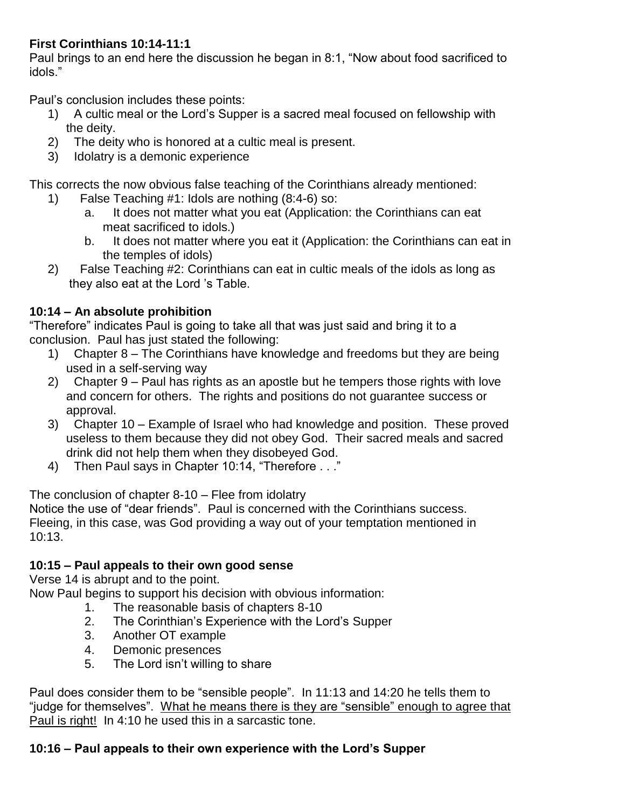### **First Corinthians 10:14-11:1**

Paul brings to an end here the discussion he began in 8:1, "Now about food sacrificed to idols."

Paul's conclusion includes these points:

- 1) A cultic meal or the Lord's Supper is a sacred meal focused on fellowship with the deity.
- 2) The deity who is honored at a cultic meal is present.
- 3) Idolatry is a demonic experience

This corrects the now obvious false teaching of the Corinthians already mentioned:

- 1) False Teaching #1: Idols are nothing (8:4-6) so:
	- a. It does not matter what you eat (Application: the Corinthians can eat meat sacrificed to idols.)
	- b. It does not matter where you eat it (Application: the Corinthians can eat in the temples of idols)
- 2) False Teaching #2: Corinthians can eat in cultic meals of the idols as long as they also eat at the Lord 's Table.

# **10:14 – An absolute prohibition**

"Therefore" indicates Paul is going to take all that was just said and bring it to a conclusion. Paul has just stated the following:

- 1) Chapter 8 The Corinthians have knowledge and freedoms but they are being used in a self-serving way
- 2) Chapter 9 Paul has rights as an apostle but he tempers those rights with love and concern for others. The rights and positions do not guarantee success or approval.
- 3) Chapter 10 Example of Israel who had knowledge and position. These proved useless to them because they did not obey God. Their sacred meals and sacred drink did not help them when they disobeyed God.
- 4) Then Paul says in Chapter 10:14, "Therefore . . ."

The conclusion of chapter 8-10 – Flee from idolatry

Notice the use of "dear friends". Paul is concerned with the Corinthians success. Fleeing, in this case, was God providing a way out of your temptation mentioned in 10:13.

### **10:15 – Paul appeals to their own good sense**

Verse 14 is abrupt and to the point.

Now Paul begins to support his decision with obvious information:

- 1. The reasonable basis of chapters 8-10
- 2. The Corinthian's Experience with the Lord's Supper
- 3. Another OT example
- 4. Demonic presences
- 5. The Lord isn't willing to share

Paul does consider them to be "sensible people". In 11:13 and 14:20 he tells them to "judge for themselves". What he means there is they are "sensible" enough to agree that Paul is right! In 4:10 he used this in a sarcastic tone.

# **10:16 – Paul appeals to their own experience with the Lord's Supper**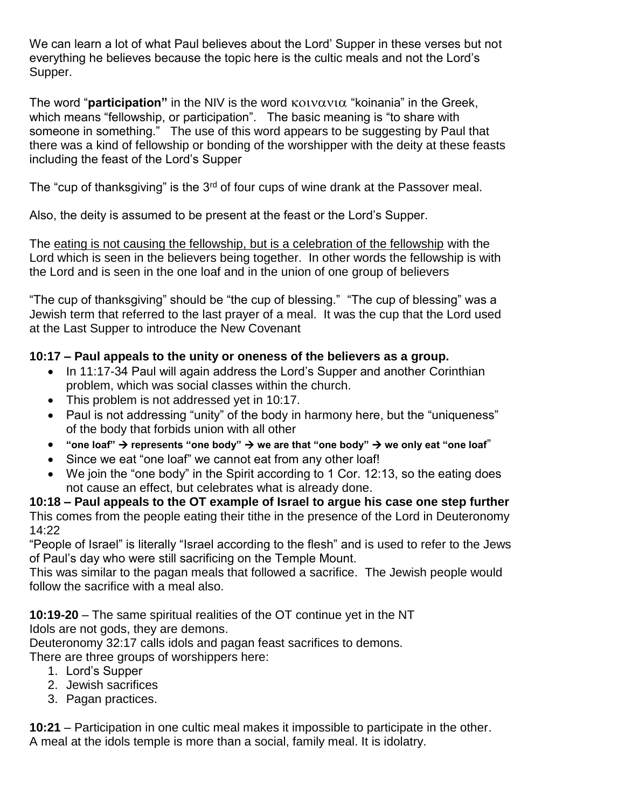We can learn a lot of what Paul believes about the Lord' Supper in these verses but not everything he believes because the topic here is the cultic meals and not the Lord's Supper.

The word "**participation**" in the NIV is the word  $\kappa$ <sub>0</sub> volvationally in the Greek, which means "fellowship, or participation". The basic meaning is "to share with someone in something." The use of this word appears to be suggesting by Paul that there was a kind of fellowship or bonding of the worshipper with the deity at these feasts including the feast of the Lord's Supper

The "cup of thanksgiving" is the 3<sup>rd</sup> of four cups of wine drank at the Passover meal.

Also, the deity is assumed to be present at the feast or the Lord's Supper.

The eating is not causing the fellowship, but is a celebration of the fellowship with the Lord which is seen in the believers being together. In other words the fellowship is with the Lord and is seen in the one loaf and in the union of one group of believers

"The cup of thanksgiving" should be "the cup of blessing." "The cup of blessing" was a Jewish term that referred to the last prayer of a meal. It was the cup that the Lord used at the Last Supper to introduce the New Covenant

### **10:17 – Paul appeals to the unity or oneness of the believers as a group.**

- In 11:17-34 Paul will again address the Lord's Supper and another Corinthian problem, which was social classes within the church.
- This problem is not addressed yet in 10:17.
- Paul is not addressing "unity" of the body in harmony here, but the "uniqueness" of the body that forbids union with all other
- **■** "one loaf"  $\rightarrow$  represents "one body"  $\rightarrow$  we are that "one body"  $\rightarrow$  we only eat "one loaf"
- Since we eat "one loaf" we cannot eat from any other loaf!
- We join the "one body" in the Spirit according to 1 Cor. 12:13, so the eating does not cause an effect, but celebrates what is already done.

**10:18 – Paul appeals to the OT example of Israel to argue his case one step further** This comes from the people eating their tithe in the presence of the Lord in Deuteronomy 14:22

"People of Israel" is literally "Israel according to the flesh" and is used to refer to the Jews of Paul's day who were still sacrificing on the Temple Mount.

This was similar to the pagan meals that followed a sacrifice. The Jewish people would follow the sacrifice with a meal also.

**10:19-20** – The same spiritual realities of the OT continue yet in the NT Idols are not gods, they are demons.

Deuteronomy 32:17 calls idols and pagan feast sacrifices to demons.

There are three groups of worshippers here:

- 1. Lord's Supper
- 2. Jewish sacrifices
- 3. Pagan practices.

**10:21** – Participation in one cultic meal makes it impossible to participate in the other. A meal at the idols temple is more than a social, family meal. It is idolatry.